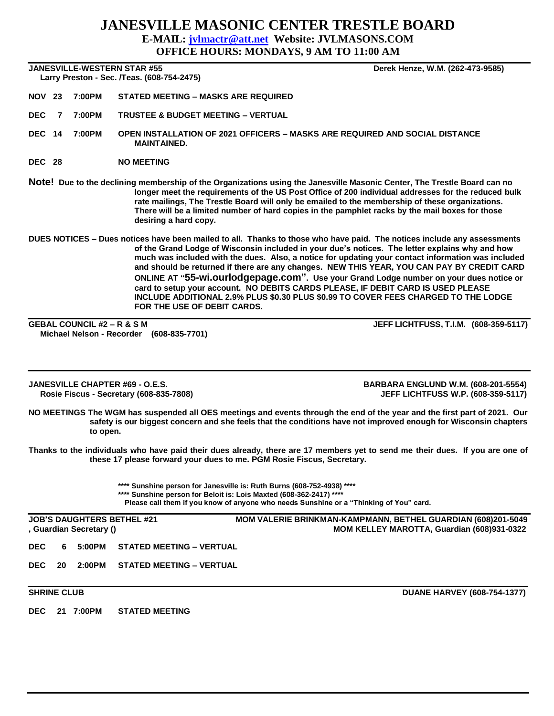## **JANESVILLE MASONIC CENTER TRESTLE BOARD E-MAIL: [jvlmactr@att.net](mailto:jvlmactr@att.net) Website: JVLMASONS.COM OFFICE HOURS: MONDAYS, 9 AM TO 11:00 AM**

### **JANESVILLE-WESTERN STAR #55 Derek Henze, W.M. (262-473-9585)**

 **Larry Preston - Sec. /Teas. (608-754-2475)** 

- **NOV 23 7:00PM STATED MEETING – MASKS ARE REQUIRED**
- **DEC 7 7:00PM TRUSTEE & BUDGET MEETING – VERTUAL**
- **DEC 14 7:00PM OPEN INSTALLATION OF 2021 OFFICERS – MASKS ARE REQUIRED AND SOCIAL DISTANCE MAINTAINED.**
- **DEC 28 NO MEETING**
- **Note! Due to the declining membership of the Organizations using the Janesville Masonic Center, The Trestle Board can no longer meet the requirements of the US Post Office of 200 individual addresses for the reduced bulk rate mailings, The Trestle Board will only be emailed to the membership of these organizations. There will be a limited number of hard copies in the pamphlet racks by the mail boxes for those desiring a hard copy.**
- **DUES NOTICES – Dues notices have been mailed to all. Thanks to those who have paid. The notices include any assessments of the Grand Lodge of Wisconsin included in your due's notices. The letter explains why and how much was included with the dues. Also, a notice for updating your contact information was included and should be returned if there are any changes. NEW THIS YEAR, YOU CAN PAY BY CREDIT CARD ONLINE AT "55-wi.ourlodgepage.com". Use your Grand Lodge number on your dues notice or card to setup your account. NO DEBITS CARDS PLEASE, IF DEBIT CARD IS USED PLEASE INCLUDE ADDITIONAL 2.9% PLUS \$0.30 PLUS \$0.99 TO COVER FEES CHARGED TO THE LODGE FOR THE USE OF DEBIT CARDS.**

**GEBAL COUNCIL #2 – R & S M JEFF LICHTFUSS, T.I.M. (608-359-5117) Michael Nelson - Recorder (608-835-7701)**

**JANESVILLE CHAPTER #69 - O.E.S. BARBARA ENGLUND W.M. (608-201-5554) Rosie Fiscus - Secretary (608-835-7808) JEFF LICHTFUSS W.P. (608-359-5117)**

- **NO MEETINGS The WGM has suspended all OES meetings and events through the end of the year and the first part of 2021. Our safety is our biggest concern and she feels that the conditions have not improved enough for Wisconsin chapters to open.**
- **Thanks to the individuals who have paid their dues already, there are 17 members yet to send me their dues. If you are one of these 17 please forward your dues to me. PGM Rosie Fiscus, Secretary.**

**\*\*\*\* Sunshine person for Janesville is: Ruth Burns (608-752-4938) \*\*\*\* \*\*\*\* Sunshine person for Beloit is: Lois Maxted (608-362-2417) \*\*\*\* Please call them if you know of anyone who needs Sunshine or a "Thinking of You" card.**

| <b>JOB'S DAUGHTERS BETHEL #21</b><br>, Guardian Secretary () |    |  |                                   | <b>MOM VALERIE BRINKMAN-KAMPMANN, BETHEL GUARDIAN (608)201-5049</b><br>MOM KELLEY MAROTTA, Guardian (608)931-0322 |
|--------------------------------------------------------------|----|--|-----------------------------------|-------------------------------------------------------------------------------------------------------------------|
| <b>DEC</b>                                                   |    |  | 6 5:00PM STATED MEETING - VERTUAL |                                                                                                                   |
| <b>DEC</b>                                                   | 20 |  | 2:00PM STATED MEETING – VERTUAL   |                                                                                                                   |

**DEC 21 7:00PM STATED MEETING**

**SHRINE CLUB** DUANE HARVEY (608-754-1377)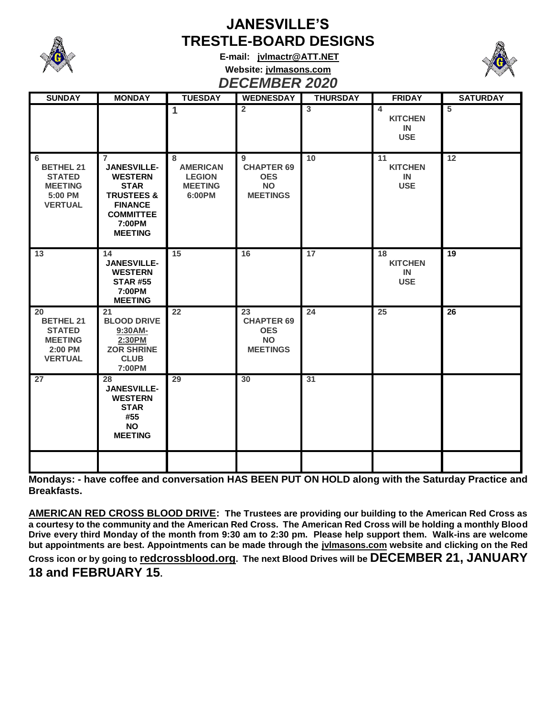

# **JANESVILLE'S TRESTLE-BOARD DESIGNS**

**E-mail: [jvlmactr@ATT.NET](mailto:jvlmactr@ATT.NET) Website: jvlmasons.com** *DECEMBER 2020*



| --------                                                                               |                                                                                                                                                                  |                                                                   |                                                                       |                 |                                                      |                 |  |  |  |  |  |
|----------------------------------------------------------------------------------------|------------------------------------------------------------------------------------------------------------------------------------------------------------------|-------------------------------------------------------------------|-----------------------------------------------------------------------|-----------------|------------------------------------------------------|-----------------|--|--|--|--|--|
| <b>SUNDAY</b>                                                                          | <b>MONDAY</b>                                                                                                                                                    | <b>TUESDAY</b>                                                    | <b>WEDNESDAY</b>                                                      | <b>THURSDAY</b> | <b>FRIDAY</b>                                        | <b>SATURDAY</b> |  |  |  |  |  |
|                                                                                        |                                                                                                                                                                  | $\blacktriangleleft$                                              | $\overline{2}$                                                        | $\overline{3}$  | $\overline{4}$<br><b>KITCHEN</b><br>IN<br><b>USE</b> | $5\phantom{1}$  |  |  |  |  |  |
| 6<br><b>BETHEL 21</b><br><b>STATED</b><br><b>MEETING</b><br>5:00 PM<br><b>VERTUAL</b>  | $\overline{7}$<br><b>JANESVILLE-</b><br><b>WESTERN</b><br><b>STAR</b><br><b>TRUSTEES &amp;</b><br><b>FINANCE</b><br><b>COMMITTEE</b><br>7:00PM<br><b>MEETING</b> | 8<br><b>AMERICAN</b><br><b>LEGION</b><br><b>MEETING</b><br>6:00PM | 9<br><b>CHAPTER 69</b><br><b>OES</b><br><b>NO</b><br><b>MEETINGS</b>  | 10              | 11<br><b>KITCHEN</b><br><b>IN</b><br><b>USE</b>      | 12              |  |  |  |  |  |
| 13                                                                                     | 14<br><b>JANESVILLE-</b><br><b>WESTERN</b><br><b>STAR #55</b><br>7:00PM<br><b>MEETING</b>                                                                        | 15                                                                | 16                                                                    | $\overline{17}$ | 18<br><b>KITCHEN</b><br>IN<br><b>USE</b>             | 19              |  |  |  |  |  |
| 20<br><b>BETHEL 21</b><br><b>STATED</b><br><b>MEETING</b><br>2:00 PM<br><b>VERTUAL</b> | 21<br><b>BLOOD DRIVE</b><br>9:30AM-<br>2:30PM<br><b>ZOR SHRINE</b><br><b>CLUB</b><br>7:00PM                                                                      | 22                                                                | 23<br><b>CHAPTER 69</b><br><b>OES</b><br><b>NO</b><br><b>MEETINGS</b> | 24              | 25                                                   | 26              |  |  |  |  |  |
| 27                                                                                     | 28<br><b>JANESVILLE-</b><br><b>WESTERN</b><br><b>STAR</b><br>#55<br><b>NO</b><br><b>MEETING</b>                                                                  | 29                                                                | 30                                                                    | 31              |                                                      |                 |  |  |  |  |  |
|                                                                                        |                                                                                                                                                                  |                                                                   |                                                                       |                 |                                                      |                 |  |  |  |  |  |

**Mondays: - have coffee and conversation HAS BEEN PUT ON HOLD along with the Saturday Practice and Breakfasts.**

**AMERICAN RED CROSS BLOOD DRIVE: The Trustees are providing our building to the American Red Cross as a courtesy to the community and the American Red Cross. The American Red Cross will be holding a monthly Blood Drive every third Monday of the month from 9:30 am to 2:30 pm. Please help support them. Walk-ins are welcome but appointments are best. Appointments can be made through the jvlmasons.com website and clicking on the Red Cross icon or by going to redcrossblood.org. The next Blood Drives will be DECEMBER 21, JANUARY 18 and FEBRUARY 15.**